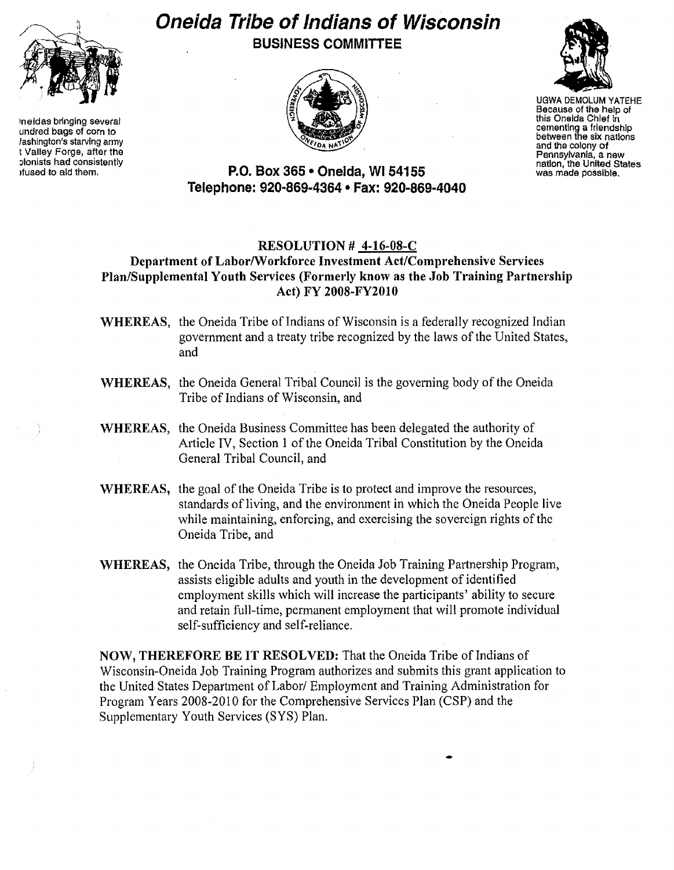

lneldas bringing several undred bags of corn to Jashington's starving army t Valley Forge, after the plonists had consistently lfused to aid them.

# **Oneida Tribe of Indians of Wisconsin** BUSINESS COMMITTEE





UGWA DEMOLUM YATEHE Because of the help of this Oneida Chief in cementing a friendship between the six nations and the colony of Pennsylvania, a new nation, the United States was made possible.

## P.O. Box 365· Oneida, WI 54155 Telephone: 920~869~4364 • Fax: 920-869-4040

## RESOLUTION # 4-16-08-C

## Department of LaborlWorkforce Investment Act/Comprehensive Services Plan/Supplemental Youth Services (Formerly know as the Job Training Partnership Act) FY 2008-FY2010

- WHEREAS, the Oneida Tribe of Indians of Wisconsin is a federally recognized Indian government and a treaty tribe recognized by the laws of the United States, and
- WHEREAS, the Oneida General Tribal Council is the governing body of the Oneida Tribe of Indians of Wisconsin, and
- WHEREAS, the Oneida Business Committee has been delegated the authority of Article IV, Section 1 of the Oneida Tribal Constitution by the Oneida General Tribal Council, and
- WHEREAS, the goal of the Oneida Tribe is to protect and improve the resources, standards of living, and the environment in which the Oneida People live while maintaining, enforcing, and exercising the sovereign rights of the Oneida Tribe, and
- WHEREAS, the Oneida Tribe, through the Oneida Job Training Partnership Program, assists eligible adults and youth in the development of identified employment skills which will increase the participants' ability to secure and retain full-time, permanent employment that will promote individual self-sufficiency and self-reliance.

NOW, THEREFORE BE IT RESOLVED: That the Oneida Tribe of Indians of Wisconsin-Oneida Job Training Program authorizes and submits this grant application to the United States Department of Labor/ Employment and Training Administration for Program Years 2008-2010 for the Comprehensive Services Plan (CSP) and the Supplementary Youth Services (SYS) Plan.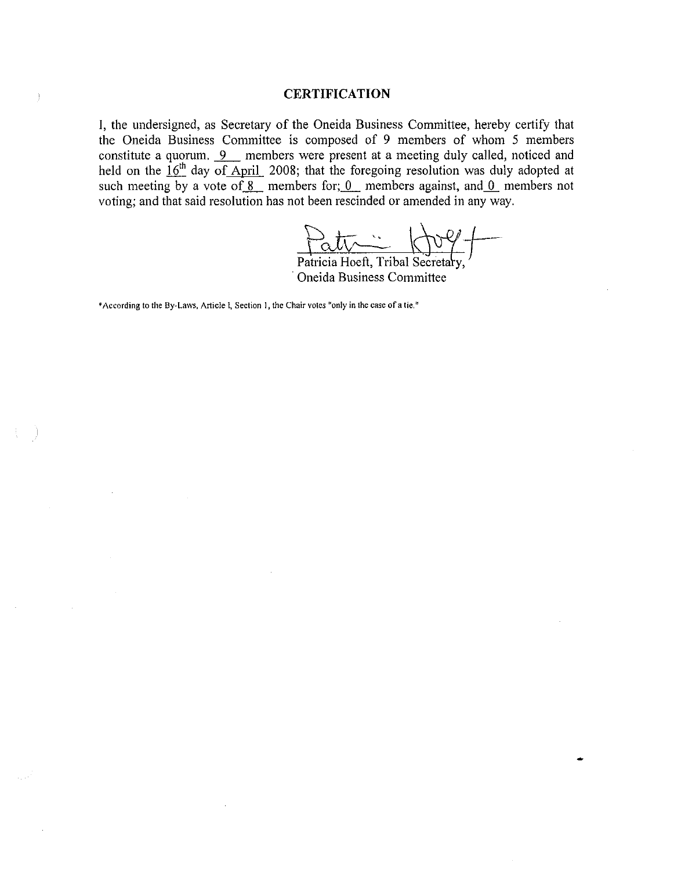### **CERTIFICATION**

**I,** the undersigned, as Secretary of the Oneida Business Committee, hereby certify that the Oneida Business Committee is composed of 9 members of whom 5 members constitute a quorum. 9\_ members were present at a meeting duly called, noticed and held on the 16<sup>th</sup> day of April 2008; that the foregoing resolution was duly adopted at such meeting by a vote of  $\overline{8}$  members for; 0 members against, and 0 members not voting; and that said resolution has not been rescinded or amended in any way.

patricia Hoeft, Tribal Secretary,

Patricia . Oneida Business Committee

**\*According to the** By~Laws, **Article I, Section 1, the Chair votes "only in the case of a tie."**